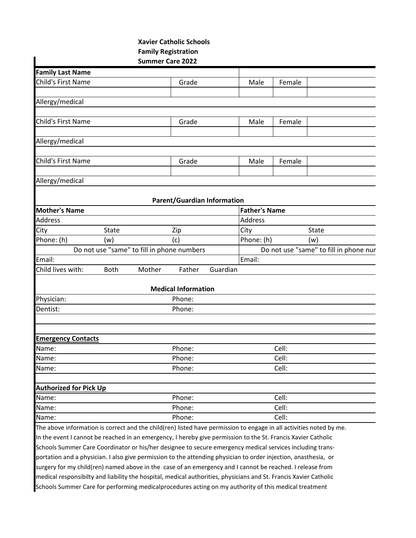## **Xavier Catholic Schools Family Registration Summer Care 2022 Family Last Name** Child's First Name **Grade** Child's First Name Grade Child's Female Allergy/medical Child's First Name **Grade** Child's First Name **Grade** Grade Child's Female Allergy/medical Child's First Name **Grade** Child's First Name Grade Child's Female Allergy/medical **Parent/Guardian Information Mother's Name Father's Name** Address Address Address Address Address Address Address Address Address Address A City State State Zip City State Phone: (h) (w) (c) |Phone: (h) (w) Do not use "same" to fill in phone numbers Do not use "same" to fill in phone nur Email: Email: Child lives with: Both Mother Father Guardian **Medical Information** Physician: Phone: Dentist: Phone: **Emergency Contacts** Name: Cell: Communication of the Phone: Cell: Cell: Cell: Cell: Cell: Cell: Cell: Cell: Cell: Cell: Cell: Cell: Cell: Cell: Cell: Cell: Cell: Cell: Cell: Cell: Cell: Cell: Cell: Cell: Cell: Cell: Cell: Cell: Cell: Cell: Ce Name: Cell: Communication of the Phone: Cell: Cell: Cell: Cell: Cell: Cell: Cell: Cell: Cell: Cell: Cell: Cell Name: Cell: Communication of the Phone: Cell: Cell: Cell: Cell: Cell: Cell: Cell: Cell: Cell: Cell: Cell: Cell: Cell: Cell: Cell: Cell: Cell: Cell: Cell: Cell: Cell: Cell: Cell: Cell: Cell: Cell: Cell: Cell: Cell: Cell: Ce **Authorized for Pick Up** Name: Cell: Communication of the Phone: Cell: Cell: Cell: Cell: Cell: Cell: Cell: Cell: Cell: Cell: Cell: Cell Name: Cell: Communication of the Phone: Cell: Cell: Cell: Cell: Cell: Cell: Cell: Cell: Cell: Cell: Cell: Cell: Cell: Cell: Cell: Cell: Cell: Cell: Cell: Cell: Cell: Cell: Cell: Cell: Cell: Cell: Cell: Cell: Cell: Cell: Ce Name: Cell: Communication of the Phone: Cell: Cell: Cell: Cell: Cell: Cell: Cell: Cell: Cell: Cell: Cell: Cell: Cell: Cell: Cell: Cell: Cell: Cell: Cell: Cell: Cell: Cell: Cell: Cell: Cell: Cell: Cell: Cell: Cell: Cell: Ce The above information is correct and the child(ren) listed have permission to engage in all activities noted by me. In the event I cannot be reached in an emergency, I hereby give permission to the St. Francis Xavier Catholic Schools Summer Care Coordinator or his/her designee to secure emergency medical services including transportation and a physician. I also give permission to the attending physician to order injection, anasthesia, or surgery for my child(ren) named above in the case of an emergency and I cannot be reached. I release from medical responsibilty and liability the hospital, medical authorities, physicians and St. Francis Xavier Catholic

Schools Summer Care for performing medicalprocedures acting on my authority of this medical treatment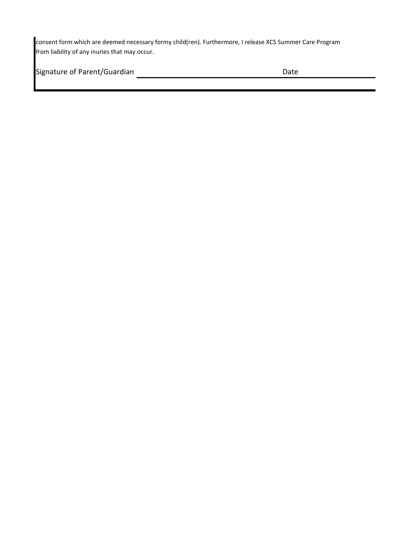consent form which are deemed necessary formy child(ren). Furthermore, I release XCS Summer Care Program from liability of any inuries that may occur.

| Signature of Parent/Guardian | Date |
|------------------------------|------|
|                              |      |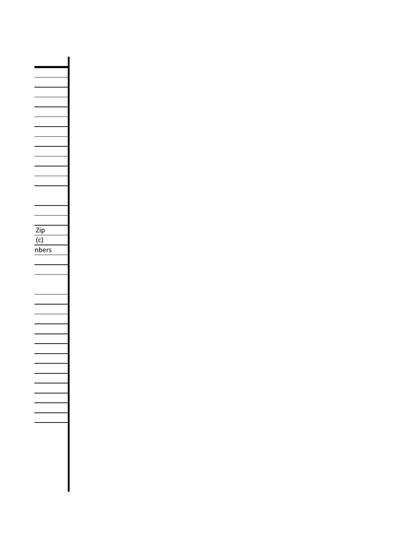Zip  $\overline{(c)}$ nbers